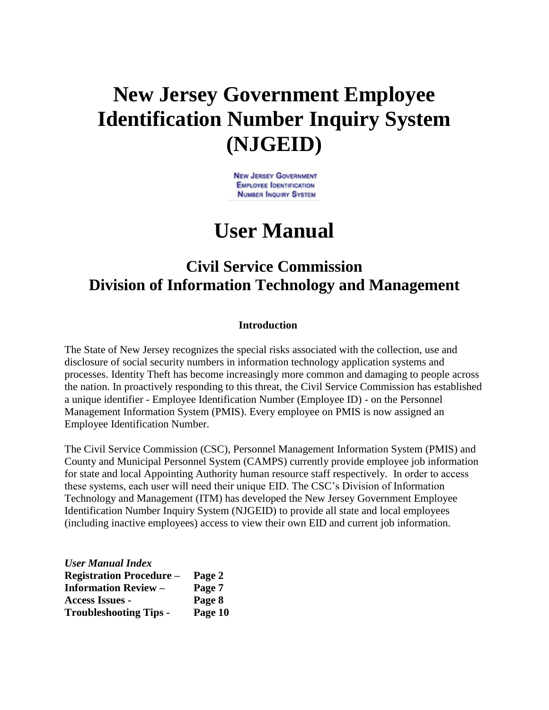# **New Jersey Government Employee Identification Number Inquiry System (NJGEID)**

**NEW JERSEY GOVERNMENT EMPLOYEE IDENTIFICATION NUMBER INQUIRY SYSTEM** 

## **User Manual**

### **Civil Service Commission Division of Information Technology and Management**

#### **Introduction**

The State of New Jersey recognizes the special risks associated with the collection, use and disclosure of social security numbers in information technology application systems and processes. Identity Theft has become increasingly more common and damaging to people across the nation. In proactively responding to this threat, the Civil Service Commission has established a unique identifier - Employee Identification Number (Employee ID) - on the Personnel Management Information System (PMIS). Every employee on PMIS is now assigned an Employee Identification Number.

The Civil Service Commission (CSC), Personnel Management Information System (PMIS) and County and Municipal Personnel System (CAMPS) currently provide employee job information for state and local Appointing Authority human resource staff respectively. In order to access these systems, each user will need their unique EID. The CSC's Division of Information Technology and Management (ITM) has developed the New Jersey Government Employee Identification Number Inquiry System (NJGEID) to provide all state and local employees (including inactive employees) access to view their own EID and current job information.

| <b>User Manual Index</b>        |         |
|---------------------------------|---------|
| <b>Registration Procedure -</b> | Page 2  |
| <b>Information Review –</b>     | Page 7  |
| <b>Access Issues -</b>          | Page 8  |
| <b>Troubleshooting Tips -</b>   | Page 10 |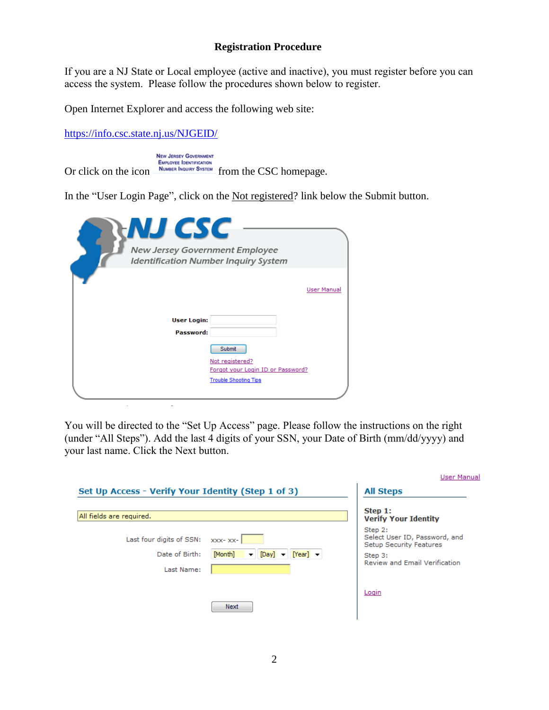#### **Registration Procedure**

If you are a NJ State or Local employee (active and inactive), you must register before you can access the system. Please follow the procedures shown below to register.

Open Internet Explorer and access the following web site:

<https://info.csc.state.nj.us/NJGEID/>

 $\mathbb{Z}^2$ 

Ġ,

**NEW JERSEY GOVERNMENT** Or click on the icon **EMPLOYEE IDENTIFICATION**<br>
NUMBER INQUIRY SYSTEM from the CSC homepage.

In the "User Login Page", click on the Not registered? link below the Submit button.

| NJ CSC<br>New Jersey Government Employee<br><b>Identification Number Inquiry System</b> |                                                                                                |
|-----------------------------------------------------------------------------------------|------------------------------------------------------------------------------------------------|
| <b>User Login:</b><br>Password:                                                         | <b>User Manual</b>                                                                             |
|                                                                                         | Submit<br>Not registered?<br>Forgot your Login ID or Password?<br><b>Trouble Shooting Tips</b> |

You will be directed to the "Set Up Access" page. Please follow the instructions on the right (under "All Steps"). Add the last 4 digits of your SSN, your Date of Birth (mm/dd/yyyy) and your last name. Click the Next button.

|                                                          |                                                                                                        | <b>User Manual</b>                                                                                              |
|----------------------------------------------------------|--------------------------------------------------------------------------------------------------------|-----------------------------------------------------------------------------------------------------------------|
| Set Up Access - Verify Your Identity (Step 1 of 3)       |                                                                                                        | <b>All Steps</b>                                                                                                |
| All fields are required.                                 |                                                                                                        | Step 1:<br><b>Verify Your Identity</b>                                                                          |
| Last four digits of SSN:<br>Date of Birth:<br>Last Name: | $XXX - XX -$<br>[Month]<br>$[Year]$ $\rightarrow$<br>$\blacktriangledown$ [Day] $\blacktriangledown$ ] | Step 2:<br>Select User ID, Password, and<br>Setup Security Features<br>Step 3:<br>Review and Email Verification |
|                                                          | Next                                                                                                   | Login                                                                                                           |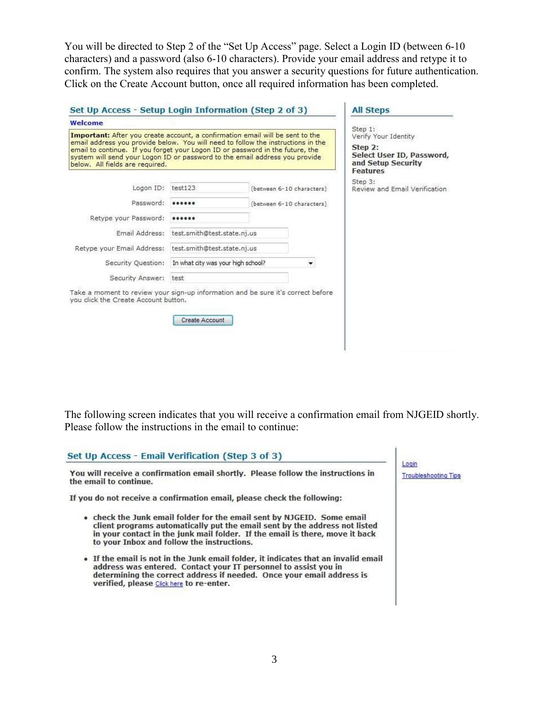You will be directed to Step 2 of the "Set Up Access" page. Select a Login ID (between 6-10 characters) and a password (also 6-10 characters). Provide your email address and retype it to confirm. The system also requires that you answer a security questions for future authentication. Click on the Create Account button, once all required information has been completed.

| Welcome                                                                                                                                                                                                                                                                                                                                                              |                                    |  |                           |                                                                                                                  |
|----------------------------------------------------------------------------------------------------------------------------------------------------------------------------------------------------------------------------------------------------------------------------------------------------------------------------------------------------------------------|------------------------------------|--|---------------------------|------------------------------------------------------------------------------------------------------------------|
| Important: After you create account, a confirmation email will be sent to the<br>email address you provide below. You will need to follow the instructions in the<br>email to continue. If you forget your Logon ID or password in the future, the<br>system will send your Logon ID or password to the email address you provide<br>below. All fields are required. |                                    |  |                           | Step 1:<br>Verify Your Identity<br>Step 2:<br>Select User ID, Password,<br>and Setup Security<br><b>Features</b> |
| Logon ID:                                                                                                                                                                                                                                                                                                                                                            | test123                            |  | (between 6-10 characters) | Step 3:<br>Review and Email Verification                                                                         |
| Password:                                                                                                                                                                                                                                                                                                                                                            |                                    |  | (between 6-10 characters) |                                                                                                                  |
| Retype your Password:                                                                                                                                                                                                                                                                                                                                                |                                    |  |                           |                                                                                                                  |
| Email Address:                                                                                                                                                                                                                                                                                                                                                       | test.smith@test.state.nj.us        |  |                           |                                                                                                                  |
| Retype your Email Address: test.smith@test.state.nj.us                                                                                                                                                                                                                                                                                                               |                                    |  |                           |                                                                                                                  |
| Security Ouestion:                                                                                                                                                                                                                                                                                                                                                   | In what city was your high school? |  |                           |                                                                                                                  |
| Security Answer: test                                                                                                                                                                                                                                                                                                                                                |                                    |  |                           |                                                                                                                  |
| Take a moment to review your sign-up information and be sure it's correct before<br>you click the Create Account button.                                                                                                                                                                                                                                             | Create Account                     |  |                           |                                                                                                                  |

The following screen indicates that you will receive a confirmation email from NJGEID shortly. Please follow the instructions in the email to continue:

| Set Up Access - Email Verification (Step 3 of 3)                                                                                                                                                                                                                                   |                                      |
|------------------------------------------------------------------------------------------------------------------------------------------------------------------------------------------------------------------------------------------------------------------------------------|--------------------------------------|
| You will receive a confirmation email shortly. Please follow the instructions in<br>the email to continue.                                                                                                                                                                         | Login<br><b>Troubleshooting Tips</b> |
| If you do not receive a confirmation email, please check the following:                                                                                                                                                                                                            |                                      |
| • check the Junk email folder for the email sent by NJGEID. Some email<br>client programs automatically put the email sent by the address not listed<br>in your contact in the junk mail folder. If the email is there, move it back<br>to your Inbox and follow the instructions. |                                      |
| . If the email is not in the Junk email folder, it indicates that an invalid email<br>address was entered. Contact your IT personnel to assist you in<br>determining the correct address if needed. Once your email address is<br>verified, please Click here to re-enter.         |                                      |
|                                                                                                                                                                                                                                                                                    |                                      |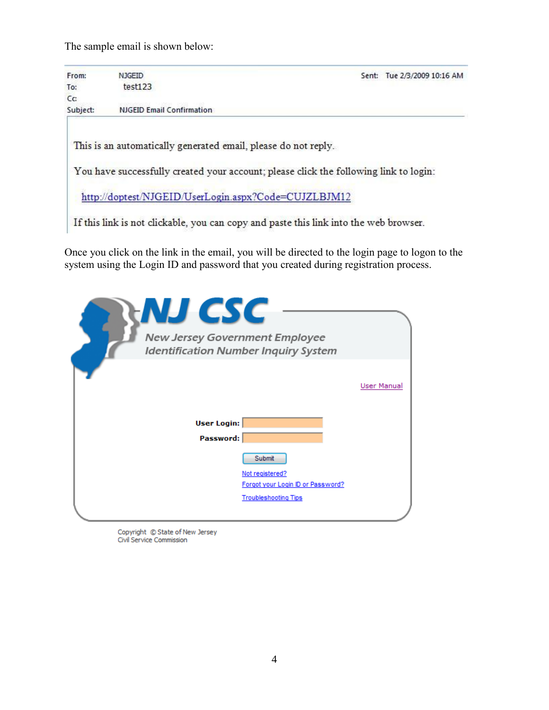The sample email is shown below:

| From:    | <b>NJGEID</b>                                                                         | Sent: Tue 2/3/2009 10:16 AM |
|----------|---------------------------------------------------------------------------------------|-----------------------------|
| To:      | test123                                                                               |                             |
| Cc:      |                                                                                       |                             |
| Subject: | <b>NJGEID Email Confirmation</b>                                                      |                             |
|          | This is an automatically generated email, please do not reply.                        |                             |
|          | You have successfully created your account; please click the following link to login: |                             |

If this link is not clickable, you can copy and paste this link into the web browser.

Once you click on the link in the email, you will be directed to the login page to logon to the system using the Login ID and password that you created during registration process.

| NJ CSC<br>New Jersey Government Employee | <b>Identification Number Inquiry System</b>                      |             |
|------------------------------------------|------------------------------------------------------------------|-------------|
|                                          |                                                                  | User Manual |
| <b>User Login:</b><br>Password:          |                                                                  |             |
|                                          | Submit<br>Not registered?                                        |             |
|                                          | Forgot your Login ID or Password?<br><b>Troubleshooting Tips</b> |             |

Copyright © State of New Jersey Civil Service Commission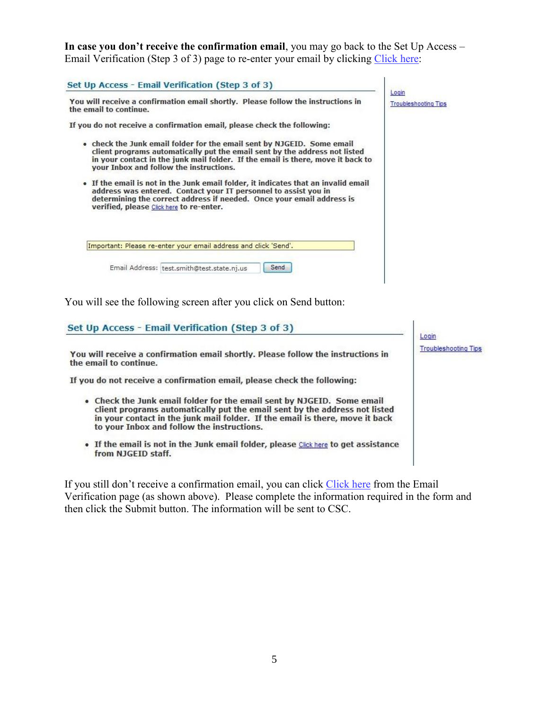**In case you don't receive the confirmation email**, you may go back to the Set Up Access – Email Verification (Step 3 of 3) page to re-enter your email by clicking Click here:

| Set Up Access - Email Verification (Step 3 of 3)                                                                                                                                                                                                                                   | Login                       |
|------------------------------------------------------------------------------------------------------------------------------------------------------------------------------------------------------------------------------------------------------------------------------------|-----------------------------|
| You will receive a confirmation email shortly. Please follow the instructions in<br>the email to continue.                                                                                                                                                                         | <b>Troubleshooting Tips</b> |
| If you do not receive a confirmation email, please check the following:                                                                                                                                                                                                            |                             |
| • check the Junk email folder for the email sent by NJGEID. Some email<br>client programs automatically put the email sent by the address not listed<br>in your contact in the junk mail folder. If the email is there, move it back to<br>your Inbox and follow the instructions. |                             |
| • If the email is not in the Junk email folder, it indicates that an invalid email<br>address was entered. Contact your IT personnel to assist you in<br>determining the correct address if needed. Once your email address is<br>verified, please Click here to re-enter.         |                             |
| Important: Please re-enter your email address and click 'Send'.                                                                                                                                                                                                                    |                             |
| Send<br>Email Address: test.smith@test.state.nj.us                                                                                                                                                                                                                                 |                             |

You will see the following screen after you click on Send button:

#### Set Up Access - Email Verification (Step 3 of 3)

You will receive a confirmation email shortly. Please follow the instructions in the email to continue.

If you do not receive a confirmation email, please check the following:

- . Check the Junk email folder for the email sent by NJGEID. Some email client programs automatically put the email sent by the address not listed in your contact in the junk mail folder. If the email is there, move it back to your Inbox and follow the instructions.
- . If the email is not in the Junk email folder, please Click here to get assistance from NJGEID staff.

If you still don't receive a confirmation email, you can click Click here from the Email Verification page (as shown above). Please complete the information required in the form and then click the Submit button. The information will be sent to CSC.

Login **Troubleshooting Tips**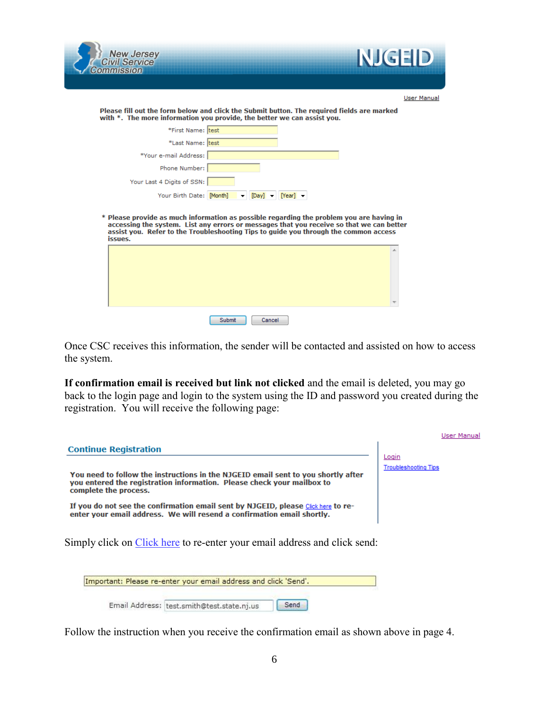



| User Manual |
|-------------|
|             |

Please fill out the form below and click the Submit button. The required fields are marked with \*. The more information you provide, the better we can assist you.

| *First Name: test          |                                                                             |
|----------------------------|-----------------------------------------------------------------------------|
| *Last Name: test           |                                                                             |
| *Your e-mail Address:      |                                                                             |
| Phone Number:              |                                                                             |
| Your Last 4 Digits of SSN: |                                                                             |
| Your Birth Date: [Month]   | $\blacktriangledown$ [Day] $\blacktriangledown$ [Year] $\blacktriangledown$ |

\* Please provide as much information as possible regarding the problem you are having in accessing the system. List any errors or messages that you receive so that we can better assist you. Refer to the Troubleshooting Tips to guide you through the common access issues.

|  |  |  | $\sim$ |
|--|--|--|--------|

Once CSC receives this information, the sender will be contacted and assisted on how to access the system.

**If confirmation email is received but link not clicked** and the email is deleted, you may go back to the login page and login to the system using the ID and password you created during the registration. You will receive the following page:

|                                                                                                                                                                                      |                                      | User Manual |
|--------------------------------------------------------------------------------------------------------------------------------------------------------------------------------------|--------------------------------------|-------------|
| <b>Continue Registration</b>                                                                                                                                                         |                                      |             |
| You need to follow the instructions in the NJGEID email sent to you shortly after<br>you entered the registration information. Please check your mailbox to<br>complete the process. | Loqin<br><b>Troubleshooting Tips</b> |             |
| If you do not see the confirmation email sent by NJGEID, please Click here to re-<br>enter your email address. We will resend a confirmation email shortly.                          |                                      |             |
| Simply click on Click here to re-enter your email address and click send:                                                                                                            |                                      |             |
| Important: Please re-enter your email address and click 'Send'.                                                                                                                      |                                      |             |

Follow the instruction when you receive the confirmation email as shown above in page 4.

Email Address: test.smith@test.state.nj.us

Send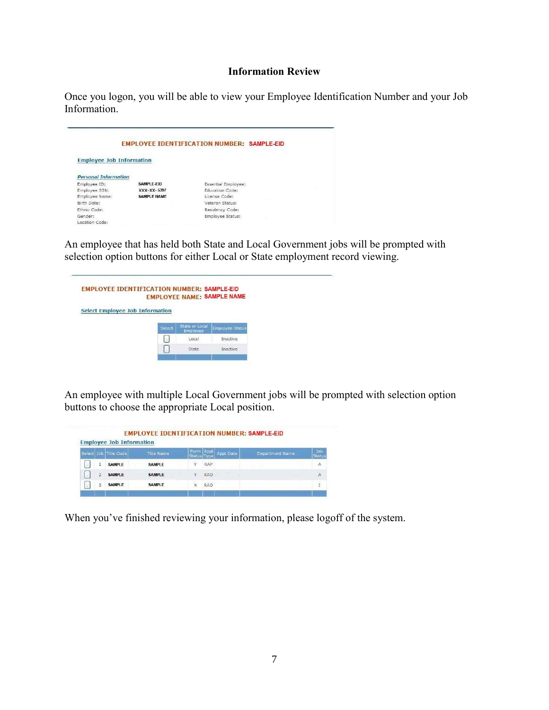#### **Information Review**

Once you logon, you will be able to view your Employee Identification Number and your Job Information.

|                                 |                    | <b>EMPLOYEE IDENTIFICATION NUMBER: SAMPLE-EID</b> |
|---------------------------------|--------------------|---------------------------------------------------|
| <b>Employee Job Information</b> |                    |                                                   |
| <b>Personal Information</b>     |                    |                                                   |
| Employee ID:                    | SAMPLE-EID         | Essential Employee:                               |
| Employee SSN:                   | XXX-XX-5397        | Education Code:                                   |
| Employee Name:                  | <b>SAMPLE NAME</b> | License Code:                                     |
| Birth Date:                     |                    | Veteran Status:                                   |
| Ethnic Code:                    |                    | Residency Code:                                   |
| Gender:                         |                    | Employee Status:                                  |
| Location Code:                  |                    |                                                   |

An employee that has held both State and Local Government jobs will be prompted with selection option buttons for either Local or State employment record viewing.



An employee with multiple Local Government jobs will be prompted with selection option buttons to choose the appropriate Local position.

|   | Select Job Title Code | <b>Title Name</b> | Status Type | Perm Appt  | Appt Date | Department Name | Job<br><b>Status</b> |
|---|-----------------------|-------------------|-------------|------------|-----------|-----------------|----------------------|
|   | <b>SAMPLE</b>         | <b>SAMPLE</b>     |             | RAP        |           |                 | Α                    |
|   |                       |                   |             |            |           |                 |                      |
| 2 | <b>SAMPLE</b>         | <b>SAMPLE</b>     | $\vee$      | RAO        |           |                 | А                    |
| 3 | <b>SAMPLE</b>         | <b>SAMPLE</b>     | N           | <b>RAO</b> |           |                 | ï                    |

When you've finished reviewing your information, please logoff of the system.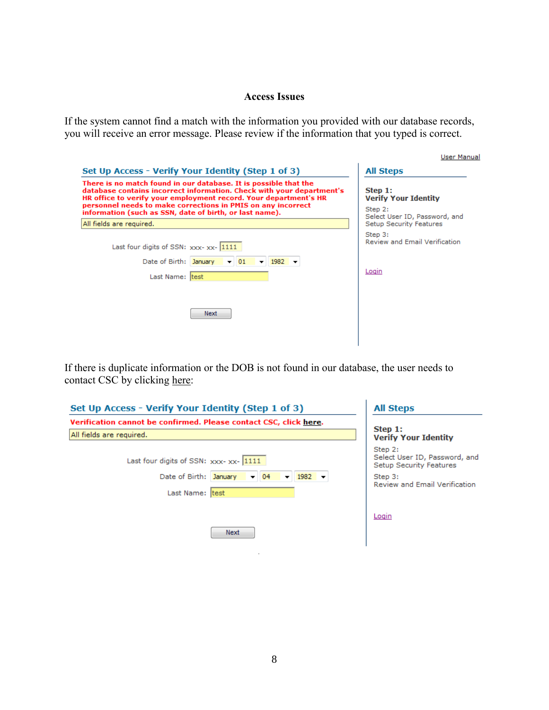#### **Access Issues**

If the system cannot find a match with the information you provided with our database records, you will receive an error message. Please review if the information that you typed is correct.

| Set Up Access - Verify Your Identity (Step 1 of 3)                                                                                                                                                                                                                                                                                       | <b>All Steps</b>                                                                   |  |
|------------------------------------------------------------------------------------------------------------------------------------------------------------------------------------------------------------------------------------------------------------------------------------------------------------------------------------------|------------------------------------------------------------------------------------|--|
| There is no match found in our database. It is possible that the<br>database contains incorrect information. Check with your department's<br>HR office to verify your employment record. Your department's HR<br>personnel needs to make corrections in PMIS on any incorrect<br>information (such as SSN, date of birth, or last name). | Step 1:<br><b>Verify Your Identity</b><br>Step 2:<br>Select User ID, Password, and |  |
| All fields are required.                                                                                                                                                                                                                                                                                                                 | Setup Security Features                                                            |  |
| Last four digits of SSN: $xxxx - xx - 1111$<br>Date of Birth: January<br>$\blacktriangledown$ 1982 $\blacktriangledown$<br>$\overline{v}$ 01<br>Last Name: test                                                                                                                                                                          | Step 3:<br>Review and Email Verification<br>Login                                  |  |
| Next                                                                                                                                                                                                                                                                                                                                     |                                                                                    |  |

If there is duplicate information or the DOB is not found in our database, the user needs to contact CSC by clicking here:

| Set Up Access - Verify Your Identity (Step 1 of 3)                | <b>All Steps</b><br>Step 1:                                         |  |
|-------------------------------------------------------------------|---------------------------------------------------------------------|--|
| Verification cannot be confirmed. Please contact CSC, click here. |                                                                     |  |
| All fields are required.                                          | <b>Verify Your Identity</b>                                         |  |
| Last four digits of SSN: xxx-xx- 1111                             | Step 2:<br>Select User ID, Password, and<br>Setup Security Features |  |
| Date of Birth: January<br>$1982$ $\rightarrow$<br>$-04$           | Step 3:<br><b>Review and Email Verification</b>                     |  |
| Last Name: test                                                   |                                                                     |  |
|                                                                   | Login                                                               |  |
| Next                                                              |                                                                     |  |
|                                                                   |                                                                     |  |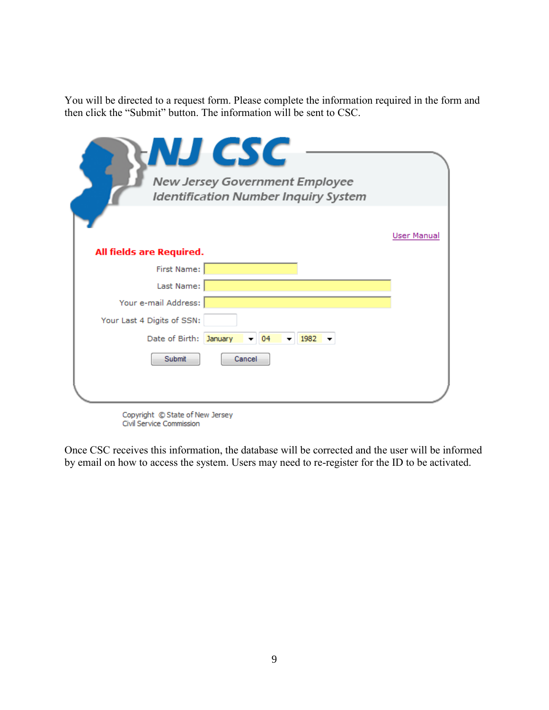You will be directed to a request form. Please complete the information required in the form and then click the "Submit" button. The information will be sent to CSC.

| <b>NJ CSC</b><br>New Jersey Government Employee<br><b>Identification Number Inquiry System</b> |             |  |  |  |
|------------------------------------------------------------------------------------------------|-------------|--|--|--|
| All fields are Required.                                                                       | User Manual |  |  |  |
| First Name:<br>Last Name:                                                                      |             |  |  |  |
| Your e-mail Address:                                                                           |             |  |  |  |
| Your Last 4 Digits of SSN:                                                                     |             |  |  |  |
| Date of Birth: January<br>04<br>1982                                                           |             |  |  |  |
| Submit<br>Cancel                                                                               |             |  |  |  |
|                                                                                                |             |  |  |  |

Copyright © State of New Jersey Civil Service Commission

Once CSC receives this information, the database will be corrected and the user will be informed by email on how to access the system. Users may need to re-register for the ID to be activated.